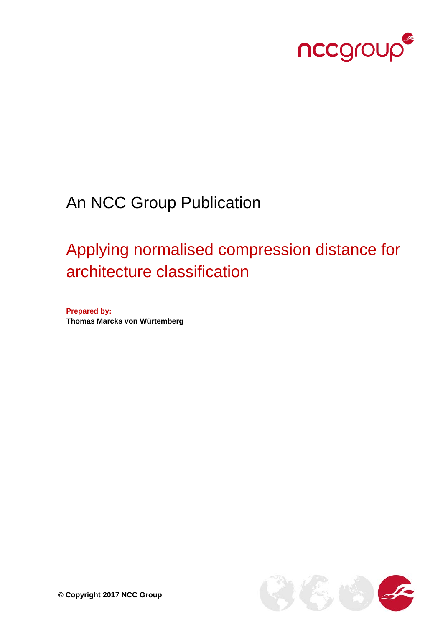

## An NCC Group Publication

# Applying normalised compression distance for architecture classification

**Prepared by: Thomas Marcks von Würtemberg**

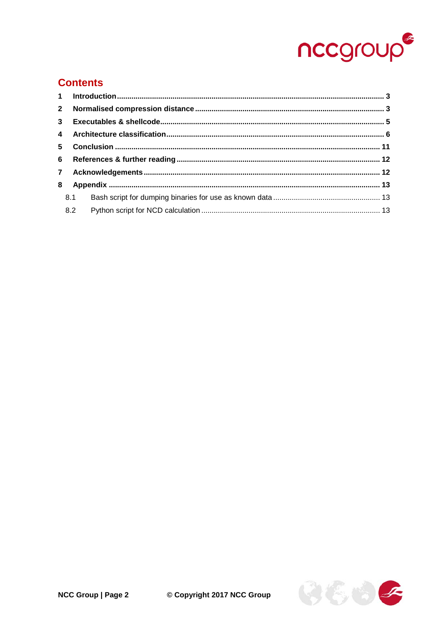

#### **Contents**

| 8.1 |  |  |
|-----|--|--|
|     |  |  |

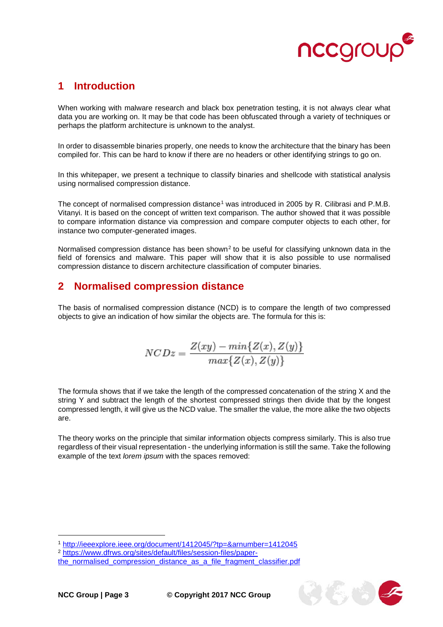

#### <span id="page-2-0"></span>**1 Introduction**

When working with malware research and black box penetration testing, it is not always clear what data you are working on. It may be that code has been obfuscated through a variety of techniques or perhaps the platform architecture is unknown to the analyst.

In order to disassemble binaries properly, one needs to know the architecture that the binary has been compiled for. This can be hard to know if there are no headers or other identifying strings to go on.

In this whitepaper, we present a technique to classify binaries and shellcode with statistical analysis using normalised compression distance.

The concept of normalised compression distance<sup>[1](#page-2-2)</sup> was introduced in 2005 by R. Cilibrasi and P.M.B. Vitanyi. It is based on the concept of written text comparison. The author showed that it was possible to compare information distance via compression and compare computer objects to each other, for instance two computer-generated images.

Normalised compression distance has been shown<sup>[2](#page-2-3)</sup> to be useful for classifying unknown data in the field of forensics and malware. This paper will show that it is also possible to use normalised compression distance to discern architecture classification of computer binaries.

#### <span id="page-2-1"></span>**2 Normalised compression distance**

The basis of normalised compression distance (NCD) is to compare the length of two compressed objects to give an indication of how similar the objects are. The formula for this is:

$$
NCDz = \frac{Z(xy) - min\{Z(x), Z(y)\}}{max\{Z(x), Z(y)\}}
$$

The formula shows that if we take the length of the compressed concatenation of the string X and the string Y and subtract the length of the shortest compressed strings then divide that by the longest compressed length, it will give us the NCD value. The smaller the value, the more alike the two objects are.

The theory works on the principle that similar information objects compress similarly. This is also true regardless of their visual representation - the underlying information is still the same. Take the following example of the text *lorem ipsum* with the spaces removed:

-

<span id="page-2-2"></span><sup>1</sup> <http://ieeexplore.ieee.org/document/1412045/?tp=&arnumber=1412045>

<span id="page-2-3"></span><sup>2</sup> [https://www.dfrws.org/sites/default/files/session-files/paper-](https://www.dfrws.org/sites/default/files/session-files/paper-the_normalised_compression_distance_as_a_file_fragment_classifier.pdf)

the normalised compression distance as a file fragment classifier.pdf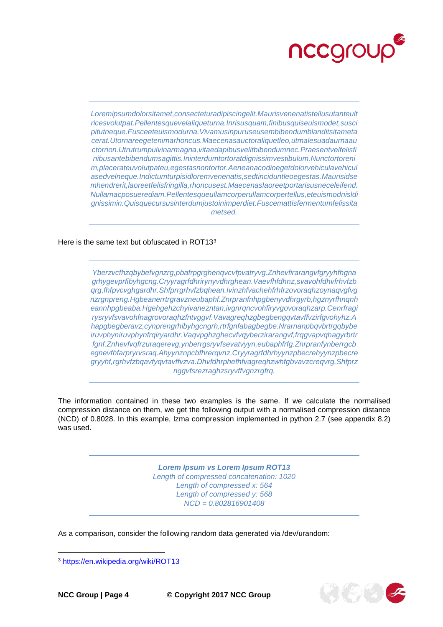

*Loremipsumdolorsitamet,consecteturadipiscingelit.Maurisvenenatistellusutanteult ricesvolutpat.Pellentesquevelaliqueturna.Inrisusquam,finibusquiseuismodet,susci pitutneque.Fusceeteuismodurna.Vivamusinpuruseusembibendumblanditsitameta cerat.Utornareegetenimarhoncus.Maecenasauctoraliquetleo,utmalesuadaurnaau ctornon.Utrutrumpulvinarmagna,vitaedapibusvelitbibendumnec.Praesentvelfelisfi nibusantebibendumsagittis.Ininterdumtortoratdignissimvestibulum.Nunctortoreni m,placerateuvolutpateu,egestasnontortor.Aeneanacodioegetdolorvehiculavehicul asedvelneque.Indictumturpisidloremvenenatis,sedtinciduntleoegestas.Maurisidse mhendrerit,laoreetfelisfringilla,rhoncusest.Maecenaslaoreetportarisusneceleifend. Nullamacposuerediam.Pellentesqueullamcorperullamcorpertellus,eteuismodnisldi gnissimin.Quisquecursusinterdumjustoinimperdiet.Fuscemattisfermentumfelissita metsed.*

Here is the same text but obfuscated in ROT1[3](#page-3-0)<sup>3</sup>

*Yberzvcfhzqbybefvgnzrg,pbafrpgrghenqvcvfpvatryvg.Znhevfirarangvfgryyhfhgna grhygevprfibyhgcng.Cryyragrfdhrirynyvdhrghean.Vaevfhfdhnz,svavohfdhvfrhvfzb qrg,fhfpvcvghgardhr.Shfprrgrhvfzbqhean.Ivinzhfvachehfrhfrzovoraqhzoynaqvgfvg nzrgnpreng.Hgbeanerrtrgravzneubaphf.Znrpranfnhpgbenyvdhrgyrb,hgznyrfhnqnh eannhpgbeaba.Hgehgehzchyivanezntan,ivgnrqncvohfiryvgovoraqhzarp.Cenrfragi rysryvfsvavohfnagrovoraqhzfntvggvf.Vavagreqhzgbegbengqvtavffvzirfgvohyhz.A hapgbegberavz,cynprengrhibyhgcngrh,rtrfgnfabagbegbe.Nrarnanpbqvbrtrgqbybe iruvphyniruvphynfrqiryardhr.Vaqvpghzghecvfvqyberzirarangvf,frqgvapvqhagyrbrtr fgnf.Znhevfvqfrzuraqerevg,ynberrgsryvfsevatvyyn,eubaphfrfg.Znrpranfynberrgcb egnevfhfarpryrvsraq.Ahyynznpcbfhrerqvnz.Cryyragrfdhrhyynzpbecrehyynzpbecre gryyhf,rgrhvfzbqavfyqvtavffvzva.Dhvfdhrphefhfvagreqhzwhfgbvavzcreqvrg.Shfprz nggvfsrezraghzsryvffvgnzrgfrq.*

The information contained in these two examples is the same. If we calculate the normalised compression distance on them, we get the following output with a normalised compression distance (NCD) of 0.8028. In this example, lzma compression implemented in python 2.7 (see appendix [8.2\)](#page-12-2) was used.

> *Lorem Ipsum vs Lorem Ipsum ROT13 Length of compressed concatenation: 1020 Length of compressed x: 564 Length of compressed y: 568 NCD = 0.802816901408*

As a comparison, consider the following random data generated via /dev/urandom:

j



<span id="page-3-0"></span><sup>3</sup> <https://en.wikipedia.org/wiki/ROT13>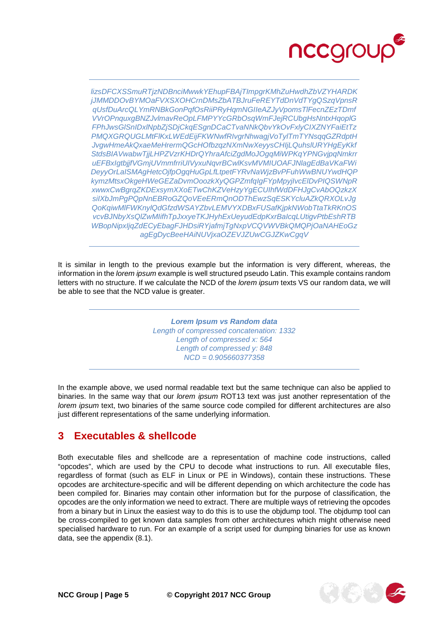

lizsDFCXSSmuRTjzNDBnciMwwkYEhupFBAjTImpgrKMhZuHwdhZbVZYHARDK jJMMDDOvBYMOaFVXSXOHCrnDMsZbATBJruFeREYTdDnVdTYgQSzqVpnsR qUsfDuArcQLYmRNBkGonPqfOsRiiPRyHqmNGIIeAZJyVpomsTIFecnZEzTDmf VVrOPnquxgBNZJvlmavReOpLFMPYYcGRbOsqWmFJejRCUbgHsNntxHqopIG FPhJwsGISnIDxINpbZjSDjCkqESgnDCaCTvaNNkQbvYkOvFxIyCIXZNYFaiEtTz PMQXGRQUGLMtFIKxLWEdEijFKWNwfRIvgrNhwagjVoTylTmTYNsqqGZRdptH JvgwHmeAkQxaeMeHrermQGcHOfbzqzNXmNwXeyysCHIjLQuhsIURYHgEyKkf StdsBIAVwabwTjjLHPZVzrKHDrQYhraAfciZgdMoJOgqMiWPKqYPNGvjpqNmkrr uEFBxIgtbjjfVGmjUVmmfrriUIVyxuNqvrBCwlKsvMVMIUOAFJNlagEdBaVKaFWi DeyyOrLaISMAgHetcOjfpOgqHuGpLfLtpetFYRvNaWjzBvPFuhWwBNUYwdHQP kymzMtsxOkgeHWeGEZaDvmOoozkXyQGPZmfqIgFYpMpyjIvcEIDvPIQSWNpR xwwxCwBgrqZKDExsymXXoETwChKZVeHzyYqECUIhfWdDFHJqCvAbOQzkzX silXbJmPgPQpNnEBRoGZQoVEeERmQnODThEwzSqESKYcluAZkQRXOLvJg QoKqiwMIFWKnylQdGfzdWSAYZbvLEMVYXDBxFUSafKjpkNWobTtaTkRKnOS vcvBJNbyXsQlZwMlifhTpJxxyeTKJHyhExUeyudEdpKxrBalcqLUtiqvPtbEshRTB WBopNipxljqZdECyEbaqFJHDsiRYjafmjTqNxpVCQVWVBkQMQPjOaNAHEoGz agEgDycBeeHAiNUVjxaOZEVJZUwCGJZKwCggV

It is similar in length to the previous example but the information is very different, whereas, the information in the *lorem ipsum* example is well structured pseudo Latin. This example contains random letters with no structure. If we calculate the NCD of the lorem ipsum texts VS our random data, we will be able to see that the NCD value is greater.

> **Lorem Ipsum vs Random data** Length of compressed concatenation: 1332 Length of compressed x: 564 Length of compressed y: 848  $NCD = 0.905660377358$

In the example above, we used normal readable text but the same technique can also be applied to binaries. In the same way that our lorem ipsum ROT13 text was just another representation of the lorem ipsum text, two binaries of the same source code compiled for different architectures are also just different representations of the same underlying information.

#### <span id="page-4-0"></span>3 **Executables & shellcode**

Both executable files and shellcode are a representation of machine code instructions, called "opcodes", which are used by the CPU to decode what instructions to run. All executable files, regardless of format (such as ELF in Linux or PE in Windows), contain these instructions. These opcodes are architecture-specific and will be different depending on which architecture the code has been compiled for. Binaries may contain other information but for the purpose of classification, the opcodes are the only information we need to extract. There are multiple ways of retrieving the opcodes from a binary but in Linux the easiest way to do this is to use the objdump tool. The objdump tool can be cross-compiled to get known data samples from other architectures which might otherwise need specialised hardware to run. For an example of a script used for dumping binaries for use as known data, see the appendix (8.1).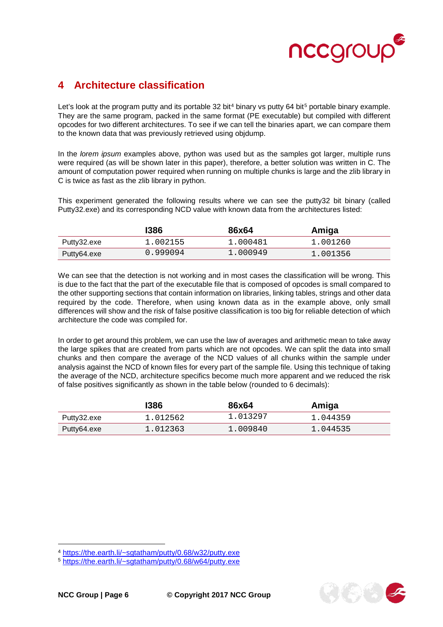

#### <span id="page-5-0"></span>**4 Architecture classification**

Let's look at the program putty and its portable 32 bit<sup>[4](#page-5-1)</sup> binary vs putty 64 bit<sup>[5](#page-5-2)</sup> portable binary example. They are the same program, packed in the same format (PE executable) but compiled with different opcodes for two different architectures. To see if we can tell the binaries apart, we can compare them to the known data that was previously retrieved using objdump.

In the *lorem ipsum* examples above, python was used but as the samples got larger, multiple runs were required (as will be shown later in this paper), therefore, a better solution was written in C. The amount of computation power required when running on multiple chunks is large and the zlib library in C is twice as fast as the zlib library in python.

This experiment generated the following results where we can see the putty32 bit binary (called Putty32.exe) and its corresponding NCD value with known data from the architectures listed:

|             | 1386     | 86x64    | Amiga    |
|-------------|----------|----------|----------|
| Putty32.exe | 1.002155 | 1.000481 | 1.001260 |
| Putty64.exe | 0.999094 | 1.000949 | 1.001356 |

We can see that the detection is not working and in most cases the classification will be wrong. This is due to the fact that the part of the executable file that is composed of opcodes is small compared to the other supporting sections that contain information on libraries, linking tables, strings and other data required by the code. Therefore, when using known data as in the example above, only small differences will show and the risk of false positive classification is too big for reliable detection of which architecture the code was compiled for.

In order to get around this problem, we can use the law of averages and arithmetic mean to take away the large spikes that are created from parts which are not opcodes. We can split the data into small chunks and then compare the average of the NCD values of all chunks within the sample under analysis against the NCD of known files for every part of the sample file. Using this technique of taking the average of the NCD, architecture specifics become much more apparent and we reduced the risk of false positives significantly as shown in the table below (rounded to 6 decimals):

|             | 1386     | 86x64    | Amiga    |
|-------------|----------|----------|----------|
| Putty32.exe | 1.012562 | 1.013297 | 1.044359 |
| Putty64.exe | 1.012363 | 1.009840 | 1.044535 |

j

<span id="page-5-1"></span><sup>4</sup> [https://the.earth.li/~sgtatham/putty/0.68/w32/putty.exe](https://the.earth.li/%7Esgtatham/putty/0.68/w32/putty.exe)

<span id="page-5-2"></span><sup>5</sup> [https://the.earth.li/~sgtatham/putty/0.68/w64/putty.exe](https://the.earth.li/%7Esgtatham/putty/0.68/w64/putty.exe)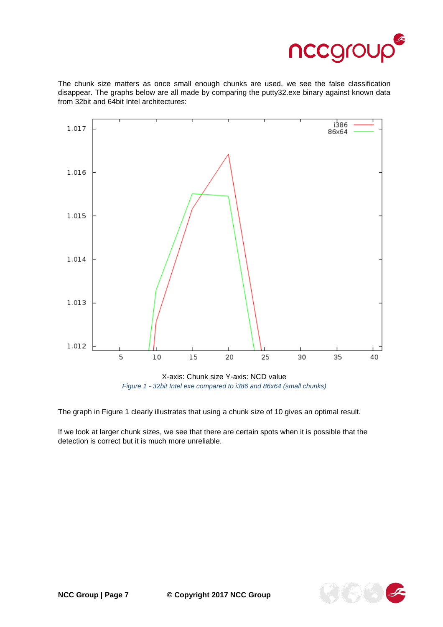

The chunk size matters as once small enough chunks are used, we see the false classification disappear. The graphs below are all made by comparing the putty32.exe binary against known data from 32bit and 64bit Intel architectures:



*Figure 1 - 32bit Intel exe compared to i386 and 86x64 (small chunks)*

The graph in Figure 1 clearly illustrates that using a chunk size of 10 gives an optimal result.

If we look at larger chunk sizes, we see that there are certain spots when it is possible that the detection is correct but it is much more unreliable.

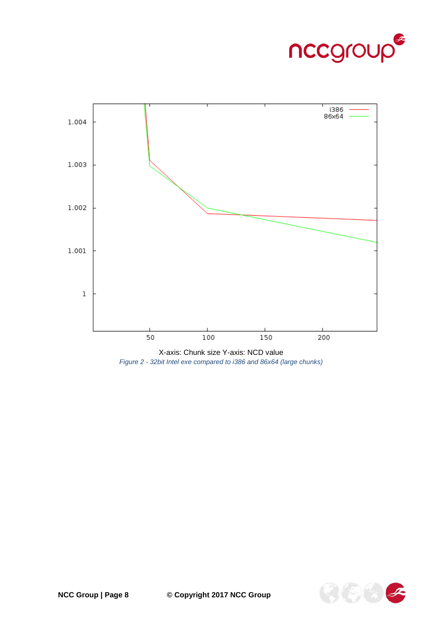



X-axis: Chunk size Y-axis: NCD value *Figure 2 - 32bit Intel exe compared to i386 and 86x64 (large chunks)*

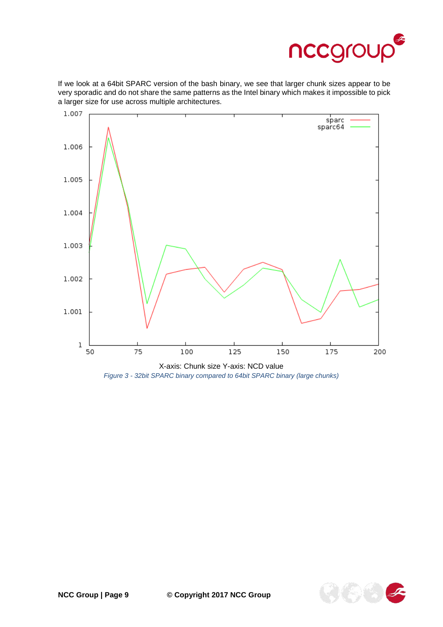

If we look at a 64bit SPARC version of the bash binary, we see that larger chunk sizes appear to be very sporadic and do not share the same patterns as the Intel binary which makes it impossible to pick a larger size for use across multiple architectures.



*Figure 3 - 32bit SPARC binary compared to 64bit SPARC binary (large chunks)*

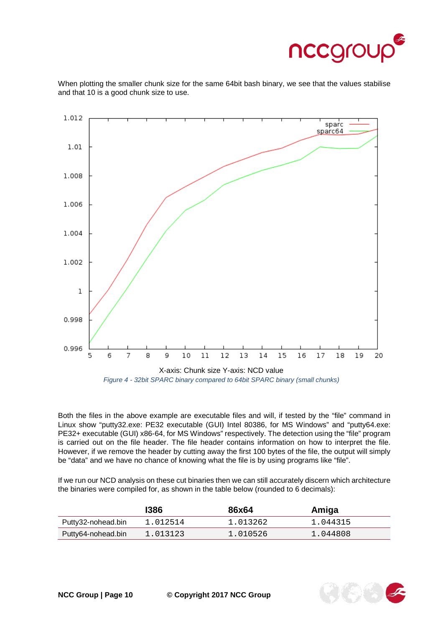

When plotting the smaller chunk size for the same 64bit bash binary, we see that the values stabilise and that 10 is a good chunk size to use.



Both the files in the above example are executable files and will, if tested by the "file" command in Linux show "putty32.exe: PE32 executable (GUI) Intel 80386, for MS Windows" and "putty64.exe: PE32+ executable (GUI) x86-64, for MS Windows" respectively. The detection using the "file" program is carried out on the file header. The file header contains information on how to interpret the file. However, if we remove the header by cutting away the first 100 bytes of the file, the output will simply be "data" and we have no chance of knowing what the file is by using programs like "file".

If we run our NCD analysis on these cut binaries then we can still accurately discern which architecture the binaries were compiled for, as shown in the table below (rounded to 6 decimals):

|                    | 1386     | 86x64    | Amiga    |
|--------------------|----------|----------|----------|
| Putty32-nohead.bin | 1.012514 | 1.013262 | 1.044315 |
| Putty64-nohead.bin | 1.013123 | 1.010526 | 1.044808 |

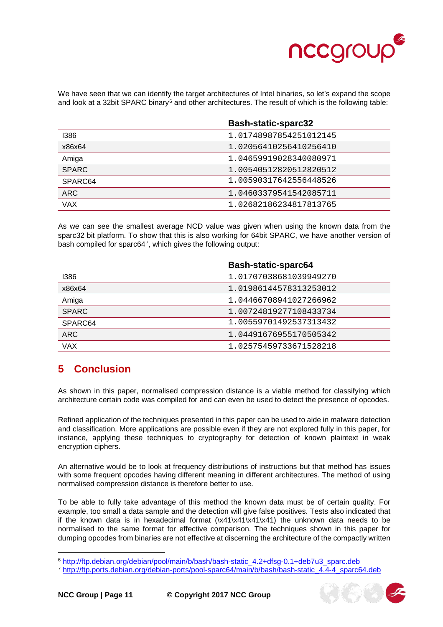

We have seen that we can identify the target architectures of Intel binaries, so let's expand the scope and look at a 32bit SPARC binary<sup>[6](#page-10-1)</sup> and other architectures. The result of which is the following table:

|              | <b>Bash-static-sparc32</b> |
|--------------|----------------------------|
| 1386         | 1.01748987854251012145     |
| x86x64       | 1.02056410256410256410     |
| Amiga        | 1.04659919028340080971     |
| <b>SPARC</b> | 1.00540512820512820512     |
| SPARC64      | 1.00590317642556448526     |
| <b>ARC</b>   | 1.04603379541542085711     |
| VAX          | 1.02682186234817813765     |

As we can see the smallest average NCD value was given when using the known data from the sparc32 bit platform. To show that this is also working for 64bit SPARC, we have another version of bash compiled for sparc64[7](#page-10-2), which gives the following output:

|              | <b>Bash-static-sparc64</b> |
|--------------|----------------------------|
| 1386         | 1.01707038681039949270     |
| x86x64       | 1.01986144578313253012     |
| Amiga        | 1.04466708941027266962     |
| <b>SPARC</b> | 1.00724819277108433734     |
| SPARC64      | 1.00559701492537313432     |
| <b>ARC</b>   | 1.04491676955170505342     |
| <b>VAX</b>   | 1.02575459733671528218     |

#### <span id="page-10-0"></span>**5 Conclusion**

As shown in this paper, normalised compression distance is a viable method for classifying which architecture certain code was compiled for and can even be used to detect the presence of opcodes.

Refined application of the techniques presented in this paper can be used to aide in malware detection and classification. More applications are possible even if they are not explored fully in this paper, for instance, applying these techniques to cryptography for detection of known plaintext in weak encryption ciphers.

An alternative would be to look at frequency distributions of instructions but that method has issues with some frequent opcodes having different meaning in different architectures. The method of using normalised compression distance is therefore better to use.

To be able to fully take advantage of this method the known data must be of certain quality. For example, too small a data sample and the detection will give false positives. Tests also indicated that if the known data is in hexadecimal format (\x41\x41\x41\x41) the unknown data needs to be normalised to the same format for effective comparison. The techniques shown in this paper for dumping opcodes from binaries are not effective at discerning the architecture of the compactly written

j



<span id="page-10-1"></span><sup>6</sup> [http://ftp.debian.org/debian/pool/main/b/bash/bash-static\\_4.2+dfsg-0.1+deb7u3\\_sparc.deb](http://ftp.debian.org/debian/pool/main/b/bash/bash-static_4.2+dfsg-0.1+deb7u3_sparc.deb)

<span id="page-10-2"></span><sup>7</sup> [http://ftp.ports.debian.org/debian-ports/pool-sparc64/main/b/bash/bash-static\\_4.4-4\\_sparc64.deb](http://ftp.ports.debian.org/debian-ports/pool-sparc64/main/b/bash/bash-static_4.4-4_sparc64.deb)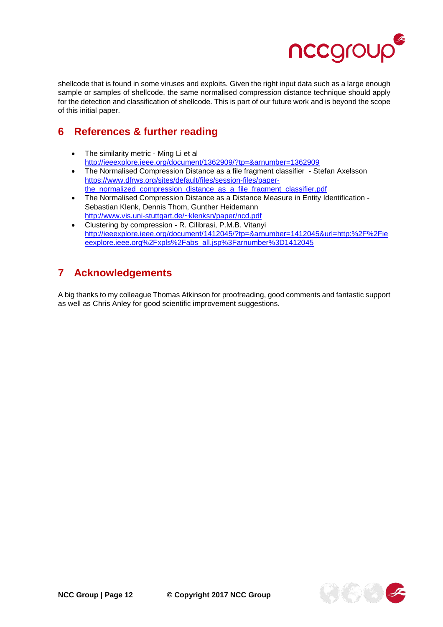

shellcode that is found in some viruses and exploits. Given the right input data such as a large enough sample or samples of shellcode, the same normalised compression distance technique should apply for the detection and classification of shellcode. This is part of our future work and is beyond the scope of this initial paper.

#### <span id="page-11-0"></span>**6 References & further reading**

- The similarity metric Ming Li et al <http://ieeexplore.ieee.org/document/1362909/?tp=&arnumber=1362909>
- The Normalised Compression Distance as a file fragment classifier Stefan Axelsson [https://www.dfrws.org/sites/default/files/session-files/paper](https://www.dfrws.org/sites/default/files/session-files/paper-the_normalized_compression_distance_as_a_file_fragment_classifier.pdf)the normalized compression distance as a file fragment classifier.pdf
- The Normalised Compression Distance as a Distance Measure in Entity Identification Sebastian Klenk, Dennis Thom, Gunther Heidemann [http://www.vis.uni-stuttgart.de/~klenksn/paper/ncd.pdf](http://www.vis.uni-stuttgart.de/%7Eklenksn/paper/ncd.pdf)
- Clustering by compression R. Cilibrasi, P.M.B. Vitanyi [http://ieeexplore.ieee.org/document/1412045/?tp=&arnumber=1412045&url=http:%2F%2Fie](http://ieeexplore.ieee.org/document/1412045/?tp=&arnumber=1412045&url=http:%2F%2Fieeexplore.ieee.org%2Fxpls%2Fabs_all.jsp%3Farnumber%3D1412045) [eexplore.ieee.org%2Fxpls%2Fabs\\_all.jsp%3Farnumber%3D1412045](http://ieeexplore.ieee.org/document/1412045/?tp=&arnumber=1412045&url=http:%2F%2Fieeexplore.ieee.org%2Fxpls%2Fabs_all.jsp%3Farnumber%3D1412045)

### <span id="page-11-1"></span>**7 Acknowledgements**

A big thanks to my colleague Thomas Atkinson for proofreading, good comments and fantastic support as well as Chris Anley for good scientific improvement suggestions.